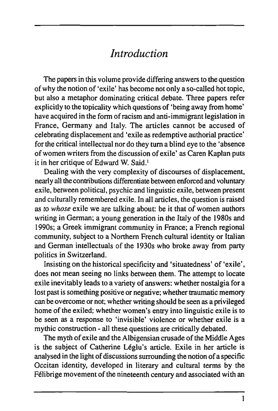## *Introduction*

*The* papers in this volume provide differing answers to the question of why the notion of 'exile' has become not only a so-called hot topic, but also a metaphor dominating critical debate. Three papers refer expliciüy to the topicality which questions of 'being away from home' have acquired in the form of racism and anti-immigrant legislation in France, Germany and Italy. The articles cannot be accused of celebrating displacement and 'exile as redemptive authorial practice' for the critical intellectual nor do they turn a blind eye to the 'absence of women writers from the discussion of exile' as Garen Kaplan puts it in her critique of Edward W. Said.<sup>1</sup>

Dealing with the very complexity of discourses of displacement, nearly all the contributions differentiate between enforced and voluntary exile, between political, psychic and linguistic exile, between present and culturally remembered exile. In all articles, the question is raised as to *whose* exile we are talking about: be it that of women authors writing in German; a young generation in the Italy of the 1980s and 1990s; a Greek immigrant community in France; a French regional community, subject to a Northern French cultural identity or Italian and German intellectuals of the 1930s who broke away from party politics in Switzerland.

Insisting on the historical specificity and 'situatedness' of 'exile', does not mean seeing no links between them. The attempt to locate exile inevitably leads to a variety of answers: whether nostalgia fora lost past is something positive or negative; whether traumatic memory can be overcome or not; whether writing should be seen as a privileged home of the exiled; whether women's entry into linguistic exile is to be seen as a response to 'invisible' violence or whether exile is a mythic construction - all these questions are critically debated.

The myth of exile and the Albigensian erusade of the Middle Ages is the subject of Catherine Léglu's article. Exile in her article is analysed in the light of discussions surrounding the notion of a specific Occitan identity, developed in literary and cultural terms by the Félibrige movement of the nineteenth century and associated with an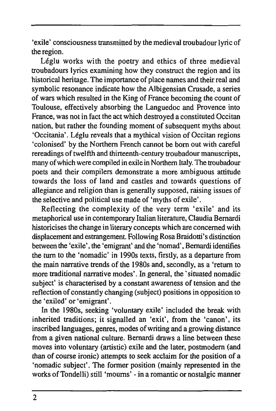'exile' consciousness transmitted by the medieval troubadour lyric of the region.

Léglu works with the poetry and ethics of three medieval troubadours lyries examining how they construct the region and its historical heritage. The importance of place names and their real and symbolic resonance indicate how the Albigensian Crusade, a series of wars which resulted in the King of France becoming the count of Toulouse, effectively absorbing the Languedoc and Provence into France, was not in fact the act which destroyed a constituted Occitan nation, but rather the founding moment of subsequent myths about 'Occitania'. Léglu reveals that a mythical vision of Occitan regions 'colonised' by the Northern French cannot be bom out with careful rereadings of twelfth and thirteenth-century troubadour manuscripts, many of which were compiled in exile in Northern Italy. The troubadour poets and their compilers demonstrate a more ambiguous attitude towards the loss of land and castles and towards questions of allegiance and religion than is generally supposed, raising issues of the selective and political use made of 'myths of exile'.

Reflecting the complexity of the very term 'exile' and its metaphorical use in contemporary Italian literature, Claudia Bemardi historicises the change in literary concepts which are concerned with displacement and estrangement. Following Rosa Braidotti's distinction between the 'exile', the 'emigrant' and the 'nomad', Bemardi identifies the turn to the 'nomadic' in 1990s texts, firstly, as a departure from the main narrative trends of the 1980s and, secondly, as a 'return to more traditional narrative modes'. In general, the 'situated nomadic subject' is characterised by a constant awareness of tension and the reflection of constantly changing (subject) positions in opposition to the 'exiled' or 'emigrant'.

In the 1980s, seeking 'voluntary exile' included the break with inherited traditions; it signalled an 'exit', from the 'canon', its inscribed languages, genres, modes of writing and a growing distance from a given national culture. Bemardi draws a line between these moves into voluntary (artistic) exile and the later, postmodem (and than of course ironic) attempts to seek acclaim for the position of a 'nomadic subject'. The former position (mainly represented in the works of Tondelli) still 'mourns' - in a romantic or nostalgic manner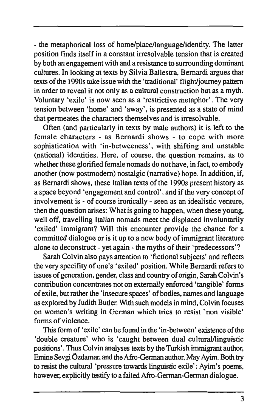- the metaphorical loss of home/place/language/identity. The latter position finds itself in a constant irresolvable tension that is created by both an engagement with and a resistance to surrounding dominant cultures. In looking at texts by Silvia Ballestra, Bemardi argues that texts of the 1990s take issue with the 'traditional' flight/journey pattern in order to reveal it not only as a cultural construction but as a myth. Voluntary 'exile' is now seen as a 'restrictive metaphor'. The very tension between 'home' and 'away', is presented as a state of mind that permeates the characters themselves and is irresolvable.

Often (and particularly in texts by male authors) it is left to the female characters - as Bemardi shows - to cope with more sophistication with 'in-betweeness', with shifting and unstable (national) identities. Here, of course, the question remains, as to whether these glorified female nomads do not have, in fact, to embody another (now postmodem) nostalgic (narrative) hope. In addition, if, as Bemardi shows, these Italian texts of the 1990s present history as a space beyond 'engagement and control', and if the very concept of involvement is - of course ironically - seen as an idealistic venture, then the question arises: What is going to happen, when these young, well off, travelling Italian nomads meet the displaced involuntarily 'exiled' immigrant? Will this encounter provide the chance for a committed dialogue or is it up to a new body of immigrant literature alone to deconstruct - yet again - the myths of their 'predecessors' ?

Sarah Colvin also pays attention to 'fictional subjects' and reflects the very specifity of one's 'exiled' position. While Bemardi refers to issues of generation, gender, class and country of origin, Sarah Colvin's contribution concentrates not on externally enforced 'tangible' forms of exile, but rather the 'insecure spaces' of bodies, names and language as explored by Judith Buder. With such models in mind, Colvin focuses on women's writing in German which tries to resist `non visible' forms of violence.

This form of 'exile' can be found in the 'in-between' existence of the 'double creature' who is 'caught between dual cultural/linguistic positions'. Thus Colvin analyses texts by the Turkish immigrant author, Emine Sevgi Ozdamar, and the Afro-German author. May Ayim. Both try to resist the cultural 'pressure towards linguistic exile'; Ayim's poems, however, explicitly testify to a failed Afro-German-German dialogue.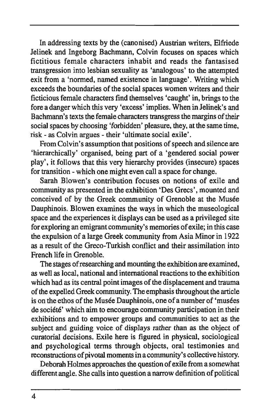In addressing texts by the (canonised) Austrian writers, Elfriede Jelinek and Ingeborg Bachmann, Colvin focuses on spaces which fictitious female characters inhabit and reads the fantasised transgression into lesbian sexuality as 'analogous' to the attempted exit from a 'normed, named existence in language'. Writing which exceeds the boundaries of the social spaces women writers and their ficticious female characters find themselves 'caught' in, brings to the fore a danger which this very 'excess' implies. When in Jelinek's and Bachmann's texts the female characters transgress the margins of their social spaces by choosing 'forbidden' pleasure, they, at the same time, risk - as Colvin argues - their 'ultimate social exile'.

From Colvin's assumption that positions of speech and silence are 'hierarchically' organised, being part of a 'gendered social power play', it follows that this very hierarchy provides (insecure) spaces for transition - which one might even call a space for change.

Sarah Blowen's contribution focuses on notions of exile and community as presented in the exhibition 'Des Grecs', mounted and conceived of by the Greek community of Grenoble at the Musée Dauphinois. Blowen examines the ways in which the museological space and the experiences it displays can be used as a privileged site for exploring an emigrant community's memories of exile; in this case the expulsion of a large Greek community from Asia Minor in 1922 as a result of the Greco-Turkish conflict and their assimilation into French life in Grenoble.

The stages of researching and mounting the exhibition are examined, as well as local, national and intemational reactions to the exhibition which had as its central point images of the displacement and trauma of the expelled Greek community. The emphasis throughout the article is on the ethos of the Musée Dauphinois, one of a number of 'musées de société' which aim to encourage community participation in their exhibitions and to empower groups and communities to act as the subject and guiding voice of displays rather than as the object of curatorial decisions. Exile here is figured in physical, sociological and psychological terms through objects, oral testimonies and reconstructions of pivotal moments in a community's collective history.

Deborah Holmes approaches the question of exile from a somewhat different angle. She calls into question a narrow definition of political